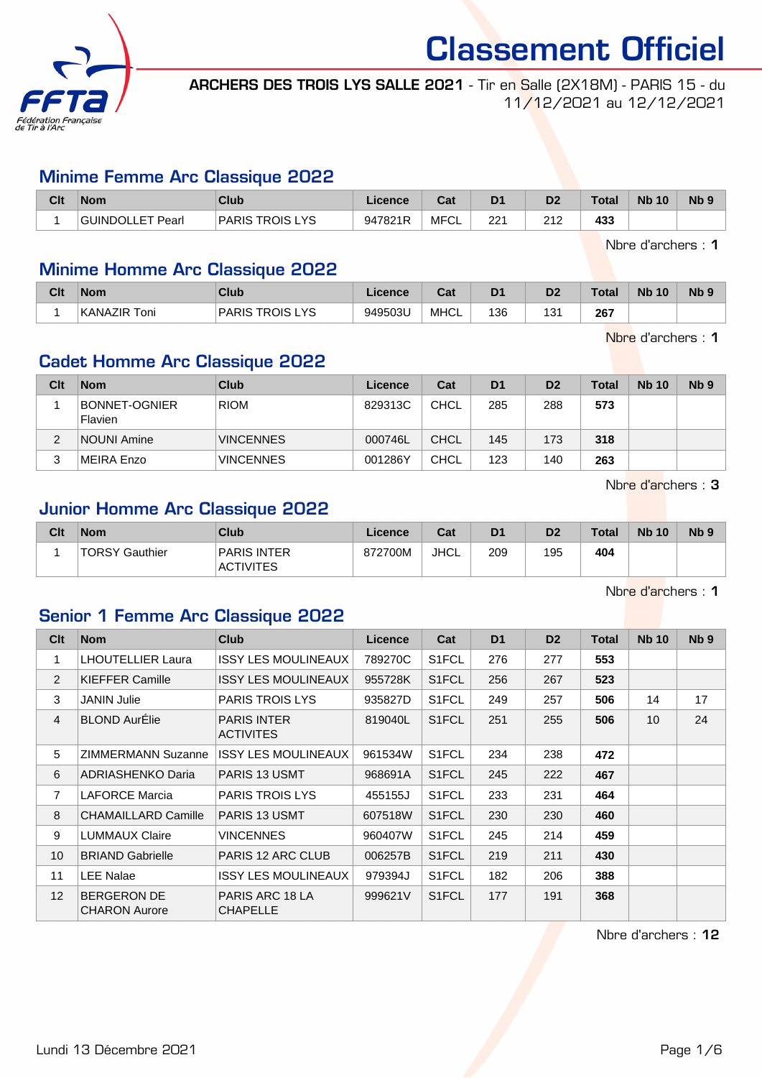

ARCHERS DES TROIS LYS SALLE 2021 - Tir en Salle (2X18M) - PARIS 15 - du 11/12/2021 au 12/12/2021

#### Minime Femme Arc Classique 2022

| Clt | <b>Nom</b>       | Club            | Licence | <b>Date</b><br>⊌a⊧ | D <sub>1</sub> | D <sub>2</sub> | <b>Total</b> | <b>Nb 10</b> | N <sub>b</sub> 9 |
|-----|------------------|-----------------|---------|--------------------|----------------|----------------|--------------|--------------|------------------|
|     | GUINDOLLET Pearl | PARIS TROIS LYS | 947821R | <b>MFCL</b>        | ດດ4<br>22      | 242<br>ے ا     | 433          |              |                  |

Nbre d'archers : 1

# Minime Homme Arc Classique 2022

| Clt | <b>Nom</b>          | Club                             | Licence | ◠⌒:<br>uai  | D <sub>1</sub> | D <sub>2</sub> | <b>Total</b> | <b>N<sub>b</sub></b><br>10 | N <sub>b</sub> <sub>9</sub> |
|-----|---------------------|----------------------------------|---------|-------------|----------------|----------------|--------------|----------------------------|-----------------------------|
|     | <b>KANAZIR Toni</b> | <b>PARIS TROIS</b><br><b>LYS</b> | 949503U | <b>MHCL</b> | 136            | 121<br>، ب     | 267          |                            |                             |

Nbre d'archers : 1

# Cadet Homme Arc Classique 2022

| Clt | <b>Nom</b>                      | Club             | Licence | Cat         | D <sub>1</sub> | D <sub>2</sub> | Total | <b>Nb 10</b> | Nb <sub>9</sub> |
|-----|---------------------------------|------------------|---------|-------------|----------------|----------------|-------|--------------|-----------------|
|     | <b>BONNET-OGNIER</b><br>Flavien | <b>RIOM</b>      | 829313C | <b>CHCL</b> | 285            | 288            | 573   |              |                 |
|     | <b>NOUNI Amine</b>              | <b>VINCENNES</b> | 000746L | <b>CHCL</b> | 145            | 173            | 318   |              |                 |
|     | <b>MEIRA Enzo</b>               | <b>VINCENNES</b> | 001286Y | <b>CHCL</b> | 123            | 140            | 263   |              |                 |

Nbre d'archers : 3

## Junior Homme Arc Classique 2022

| Clt | <b>Nom</b>     | Club                                   | Licence | Cat  | D <sub>1</sub> | D <sub>2</sub> | <b>Total</b> | <b>Nb 10</b> | <b>N<sub>b</sub></b> |
|-----|----------------|----------------------------------------|---------|------|----------------|----------------|--------------|--------------|----------------------|
|     | TORSY Gauthier | <b>PARIS INTER</b><br><b>ACTIVITES</b> | 872700M | JHCL | 209            | 195            | 404          |              |                      |

Nbre d'archers : 1

## Senior 1 Femme Arc Classique 2022

| Clt             | <b>Nom</b>                                 | <b>Club</b>                            | <b>Licence</b> | Cat                | D <sub>1</sub> | D <sub>2</sub> | <b>Total</b> | <b>Nb 10</b>    | N <sub>b</sub> <sub>9</sub> |
|-----------------|--------------------------------------------|----------------------------------------|----------------|--------------------|----------------|----------------|--------------|-----------------|-----------------------------|
| 1               | <b>LHOUTELLIER Laura</b>                   | <b>ISSY LES MOULINEAUX</b>             | 789270C        | S <sub>1</sub> FCL | 276            | 277            | 553          |                 |                             |
| 2               | <b>KIEFFER Camille</b>                     | <b>ISSY LES MOULINEAUX</b>             | 955728K        | S <sub>1</sub> FCL | 256            | 267            | 523          |                 |                             |
| 3               | <b>JANIN Julie</b>                         | <b>PARIS TROIS LYS</b>                 | 935827D        | S <sub>1</sub> FCL | 249            | 257            | 506          | 14              | 17                          |
| $\overline{4}$  | <b>BLOND AurElie</b>                       | <b>PARIS INTER</b><br><b>ACTIVITES</b> | 819040L        | S <sub>1</sub> FCL | 251            | 255            | 506          | 10 <sup>1</sup> | 24                          |
| 5               | <b>ZIMMERMANN Suzanne</b>                  | <b>ISSY LES MOULINEAUX</b>             | 961534W        | S <sub>1</sub> FCL | 234            | 238            | 472          |                 |                             |
| 6               | <b>ADRIASHENKO Daria</b>                   | <b>PARIS 13 USMT</b>                   | 968691A        | S <sub>1</sub> FCL | 245            | 222            | 467          |                 |                             |
| $\overline{7}$  | <b>LAFORCE Marcia</b>                      | <b>PARIS TROIS LYS</b>                 | 455155J        | S <sub>1</sub> FCL | 233            | 231            | 464          |                 |                             |
| 8               | <b>CHAMAILLARD Camille</b>                 | <b>PARIS 13 USMT</b>                   | 607518W        | S <sub>1</sub> FCL | 230            | 230            | 460          |                 |                             |
| 9               | <b>LUMMAUX Claire</b>                      | <b>VINCENNES</b>                       | 960407W        | S <sub>1</sub> FCL | 245            | 214            | 459          |                 |                             |
| 10              | <b>BRIAND Gabrielle</b>                    | PARIS 12 ARC CLUB                      | 006257B        | S <sub>1</sub> FCL | 219            | 211            | 430          |                 |                             |
| 11              | <b>LEE Nalae</b>                           | <b>ISSY LES MOULINEAUX</b>             | 979394J        | S <sub>1</sub> FCL | 182            | 206            | 388          |                 |                             |
| 12 <sup>2</sup> | <b>BERGERON DE</b><br><b>CHARON Aurore</b> | PARIS ARC 18 LA<br><b>CHAPELLE</b>     | 999621V        | S <sub>1</sub> FCL | 177            | 191            | 368          |                 |                             |

Nbre d'archers : 12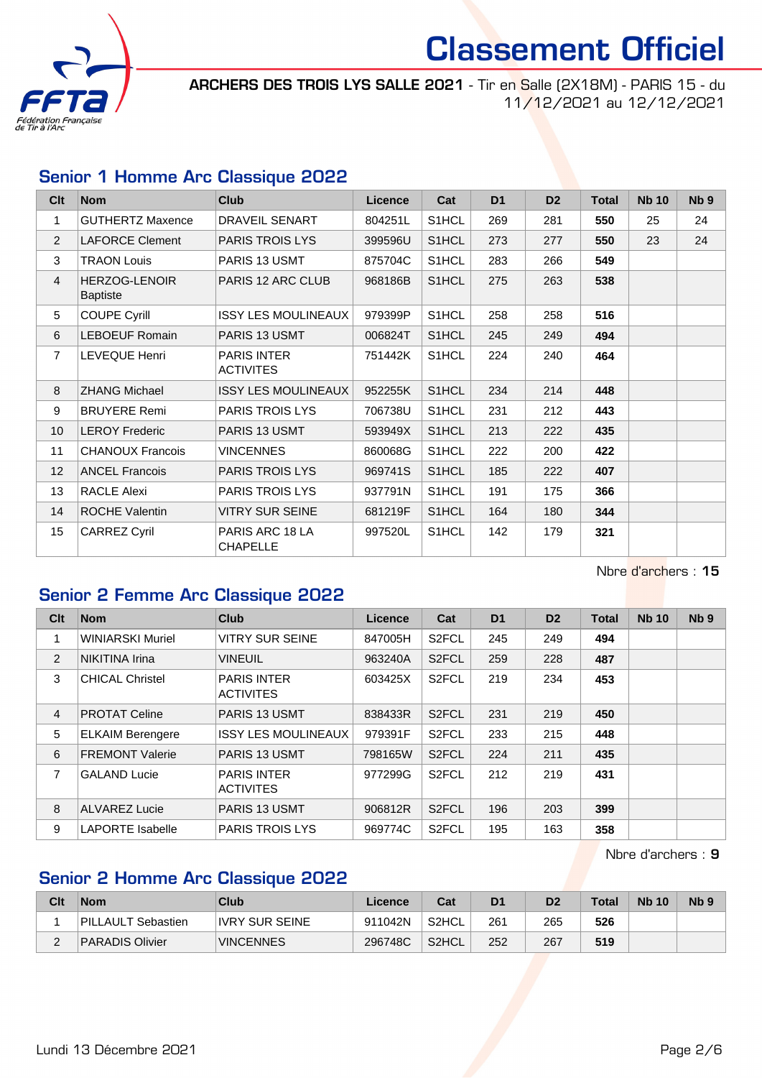

ARCHERS DES TROIS LYS SALLE 2021 - Tir en Salle (2X18M) - PARIS 15 - du 11/12/2021 au 12/12/2021

### Senior 1 Homme Arc Classique 2022

| Clt             | <b>Nom</b>                              | <b>Club</b>                            | <b>Licence</b> | Cat                | D <sub>1</sub> | D <sub>2</sub> | <b>Total</b> | <b>Nb 10</b> | N <sub>b</sub> <sub>9</sub> |
|-----------------|-----------------------------------------|----------------------------------------|----------------|--------------------|----------------|----------------|--------------|--------------|-----------------------------|
| 1               | <b>GUTHERTZ Maxence</b>                 | DRAVEIL SENART                         | 804251L        | S1HCL              | 269            | 281            | 550          | 25           | 24                          |
| $\overline{2}$  | <b>LAFORCE Clement</b>                  | <b>PARIS TROIS LYS</b>                 | 399596U        | S1HCL              | 273            | 277            | 550          | 23           | 24                          |
| 3               | <b>TRAON Louis</b>                      | PARIS 13 USMT                          | 875704C        | S1HCL              | 283            | 266            | 549          |              |                             |
| $\overline{4}$  | <b>HERZOG-LENOIR</b><br><b>Baptiste</b> | PARIS 12 ARC CLUB                      | 968186B        | S1HCL              | 275            | 263            | 538          |              |                             |
| 5               | <b>COUPE Cyrill</b>                     | <b>ISSY LES MOULINEAUX</b>             | 979399P        | S1HCL              | 258            | 258            | 516          |              |                             |
| 6               | <b>LEBOEUF Romain</b>                   | PARIS 13 USMT                          | 006824T        | S1HCL              | 245            | 249            | 494          |              |                             |
| $\overline{7}$  | <b>LEVEQUE Henri</b>                    | <b>PARIS INTER</b><br><b>ACTIVITES</b> | 751442K        | S <sub>1</sub> HCL | 224            | 240            | 464          |              |                             |
| 8               | <b>ZHANG Michael</b>                    | <b>ISSY LES MOULINEAUX</b>             | 952255K        | S1HCL              | 234            | 214            | 448          |              |                             |
| 9               | <b>BRUYERE Remi</b>                     | PARIS TROIS LYS                        | 706738U        | S1HCL              | 231            | 212            | 443          |              |                             |
| 10 <sup>°</sup> | <b>LEROY Frederic</b>                   | <b>PARIS 13 USMT</b>                   | 593949X        | S1HCL              | 213            | 222            | 435          |              |                             |
| 11              | <b>CHANOUX Francois</b>                 | <b>VINCENNES</b>                       | 860068G        | S1HCL              | 222            | 200            | 422          |              |                             |
| 12              | <b>ANCEL Francois</b>                   | <b>PARIS TROIS LYS</b>                 | 969741S        | S1HCL              | 185            | 222            | 407          |              |                             |
| 13              | RACLE Alexi                             | <b>PARIS TROIS LYS</b>                 | 937791N        | S1HCL              | 191            | 175            | 366          |              |                             |
| 14              | <b>ROCHE Valentin</b>                   | <b>VITRY SUR SEINE</b>                 | 681219F        | S1HCL              | 164            | 180            | 344          |              |                             |
| 15              | <b>CARREZ Cyril</b>                     | PARIS ARC 18 LA<br><b>CHAPELLE</b>     | 997520L        | S1HCL              | 142            | 179            | 321          |              |                             |

Nbre d'archers : 15

## Senior 2 Femme Arc Classique 2022

| Clt            | <b>Nom</b>              | Club                                   | Licence | Cat                | D <sub>1</sub> | D <sub>2</sub> | <b>Total</b> | <b>Nb 10</b> | Nb <sub>9</sub> |
|----------------|-------------------------|----------------------------------------|---------|--------------------|----------------|----------------|--------------|--------------|-----------------|
| 1              | <b>WINIARSKI Muriel</b> | <b>VITRY SUR SEINE</b>                 | 847005H | S <sub>2</sub> FCL | 245            | 249            | 494          |              |                 |
| 2              | <b>NIKITINA Irina</b>   | <b>VINEUIL</b>                         | 963240A | S <sub>2</sub> FCL | 259            | 228            | 487          |              |                 |
| 3              | <b>CHICAL Christel</b>  | <b>PARIS INTER</b><br><b>ACTIVITES</b> | 603425X | S <sub>2</sub> FCL | 219            | 234            | 453          |              |                 |
| $\overline{4}$ | <b>PROTAT Celine</b>    | PARIS 13 USMT                          | 838433R | S <sub>2</sub> FCL | 231            | 219            | 450          |              |                 |
| 5              | <b>ELKAIM Berengere</b> | <b>ISSY LES MOULINEAUX</b>             | 979391F | S <sub>2</sub> FCL | 233            | 215            | 448          |              |                 |
| 6              | <b>FREMONT Valerie</b>  | <b>PARIS 13 USMT</b>                   | 798165W | S <sub>2</sub> FCL | 224            | 211            | 435          |              |                 |
| $\overline{7}$ | <b>GALAND Lucie</b>     | <b>PARIS INTER</b><br><b>ACTIVITES</b> | 977299G | S <sub>2</sub> FCL | 212            | 219            | 431          |              |                 |
| 8              | <b>ALVAREZ Lucie</b>    | <b>PARIS 13 USMT</b>                   | 906812R | S <sub>2</sub> FCL | 196            | 203            | 399          |              |                 |
| 9              | <b>LAPORTE Isabelle</b> | <b>PARIS TROIS LYS</b>                 | 969774C | S <sub>2</sub> FCL | 195            | 163            | 358          |              |                 |

Nbre d'archers : 9

# Senior 2 Homme Arc Classique 2022

| Clt | Nom                | Club             | Licence | Cat   | D <sub>1</sub> | D2  | <b>Total</b> | <b>Nb 10</b> | <b>Nb</b> |
|-----|--------------------|------------------|---------|-------|----------------|-----|--------------|--------------|-----------|
|     | PILLAULT Sebastien | IVRY SUR SEINE   | 911042N | S2HCL | 261            | 265 | 526          |              |           |
| -   | PARADIS Olivier    | <b>VINCENNES</b> | 296748C | S2HCL | 252            | 267 | 519          |              |           |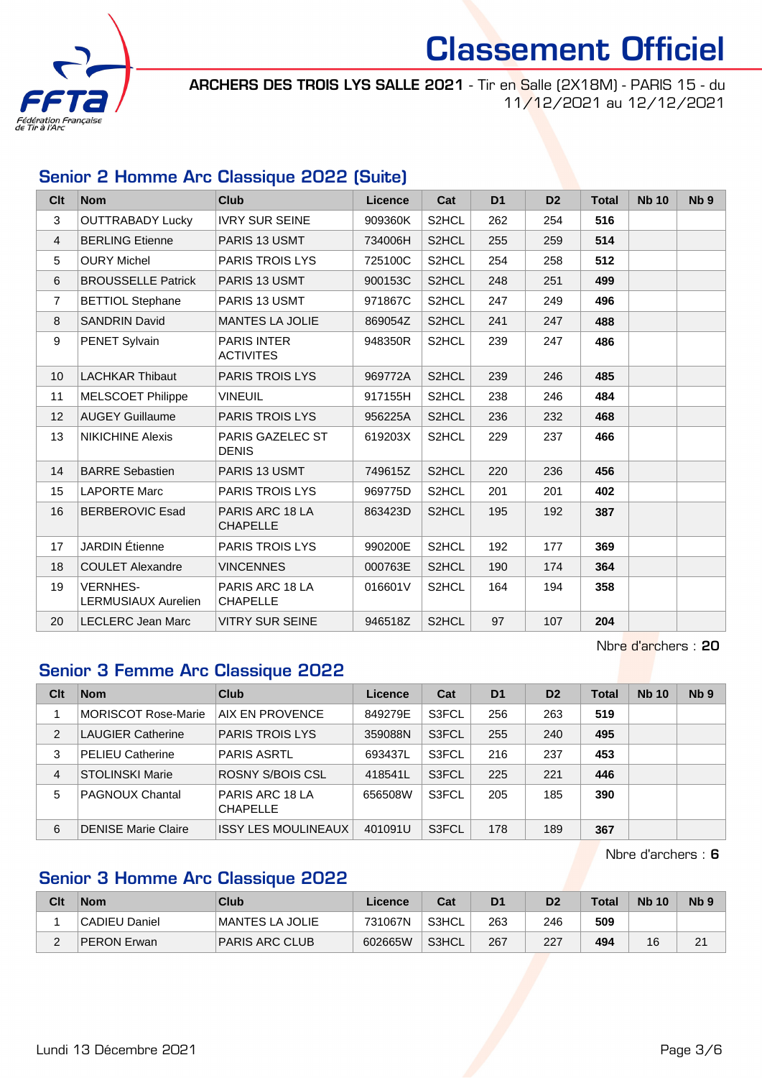

ARCHERS DES TROIS LYS SALLE 2021 - Tir en Salle (2X18M) - PARIS 15 - du 11/12/2021 au 12/12/2021

## Senior 2 Homme Arc Classique 2022 (Suite)

| Clt             | <b>Nom</b>                             | <b>Club</b>                            | Licence | Cat                | D <sub>1</sub> | D <sub>2</sub> | <b>Total</b> | <b>Nb 10</b> | N <sub>b</sub> <sub>9</sub> |
|-----------------|----------------------------------------|----------------------------------------|---------|--------------------|----------------|----------------|--------------|--------------|-----------------------------|
| 3               | <b>OUTTRABADY Lucky</b>                | <b>IVRY SUR SEINE</b>                  | 909360K | S2HCL              | 262            | 254            | 516          |              |                             |
| 4               | <b>BERLING Etienne</b>                 | PARIS 13 USMT                          | 734006H | S2HCL              | 255            | 259            | 514          |              |                             |
| 5               | <b>OURY Michel</b>                     | PARIS TROIS LYS                        | 725100C | S <sub>2</sub> HCL | 254            | 258            | 512          |              |                             |
| 6               | <b>BROUSSELLE Patrick</b>              | <b>PARIS 13 USMT</b>                   | 900153C | S2HCL              | 248            | 251            | 499          |              |                             |
| $\overline{7}$  | <b>BETTIOL Stephane</b>                | PARIS 13 USMT                          | 971867C | S <sub>2</sub> HCL | 247            | 249            | 496          |              |                             |
| 8               | <b>SANDRIN David</b>                   | <b>MANTES LA JOLIE</b>                 | 869054Z | S2HCL              | 241            | 247            | 488          |              |                             |
| 9               | PENET Sylvain                          | <b>PARIS INTER</b><br><b>ACTIVITES</b> | 948350R | S <sub>2</sub> HCL | 239            | 247            | 486          |              |                             |
| 10 <sup>°</sup> | <b>LACHKAR Thibaut</b>                 | PARIS TROIS LYS                        | 969772A | S2HCL              | 239            | 246            | 485          |              |                             |
| 11              | <b>MELSCOET Philippe</b>               | <b>VINEUIL</b>                         | 917155H | S <sub>2</sub> HCL | 238            | 246            | 484          |              |                             |
| 12              | <b>AUGEY Guillaume</b>                 | PARIS TROIS LYS                        | 956225A | S2HCL              | 236            | 232            | 468          |              |                             |
| 13              | <b>NIKICHINE Alexis</b>                | PARIS GAZELEC ST<br><b>DENIS</b>       | 619203X | S2HCL              | 229            | 237            | 466          |              |                             |
| 14              | <b>BARRE Sebastien</b>                 | PARIS 13 USMT                          | 749615Z | S <sub>2</sub> HCL | 220            | 236            | 456          |              |                             |
| 15              | <b>LAPORTE Marc</b>                    | <b>PARIS TROIS LYS</b>                 | 969775D | S <sub>2</sub> HCL | 201            | 201            | 402          |              |                             |
| 16              | <b>BERBEROVIC Esad</b>                 | PARIS ARC 18 LA<br><b>CHAPELLE</b>     | 863423D | S2HCL              | 195            | 192            | 387          |              |                             |
| 17              | <b>JARDIN</b> Étienne                  | PARIS TROIS LYS                        | 990200E | S2HCL              | 192            | 177            | 369          |              |                             |
| 18              | <b>COULET Alexandre</b>                | <b>VINCENNES</b>                       | 000763E | S2HCL              | 190            | 174            | 364          |              |                             |
| 19              | <b>VERNHES-</b><br>LERMUSIAUX Aurelien | PARIS ARC 18 LA<br><b>CHAPELLE</b>     | 016601V | S2HCL              | 164            | 194            | 358          |              |                             |
| 20              | <b>LECLERC Jean Marc</b>               | <b>VITRY SUR SEINE</b>                 | 946518Z | S2HCL              | 97             | 107            | 204          |              |                             |

Nbre d'archers : 20

### Senior 3 Femme Arc Classique 2022

| Clt | <b>Nom</b>                 | Club                               | Licence | Cat   | D <sub>1</sub> | D <sub>2</sub> | <b>Total</b> | <b>Nb 10</b> | Nb <sub>9</sub> |
|-----|----------------------------|------------------------------------|---------|-------|----------------|----------------|--------------|--------------|-----------------|
|     | <b>MORISCOT Rose-Marie</b> | AIX EN PROVENCE                    | 849279E | S3FCL | 256            | 263            | 519          |              |                 |
| 2   | <b>LAUGIER Catherine</b>   | <b>PARIS TROIS LYS</b>             | 359088N | S3FCL | 255            | 240            | 495          |              |                 |
| 3   | <b>PELIEU Catherine</b>    | <b>PARIS ASRTL</b>                 | 693437L | S3FCL | 216            | 237            | 453          |              |                 |
| 4   | <b>STOLINSKI Marie</b>     | ROSNY S/BOIS CSL                   | 418541L | S3FCL | 225            | 221            | 446          |              |                 |
| 5   | <b>PAGNOUX Chantal</b>     | PARIS ARC 18 LA<br><b>CHAPELLE</b> | 656508W | S3FCL | 205            | 185            | 390          |              |                 |
| 6   | <b>DENISE Marie Claire</b> | <b>ISSY LES MOULINEAUX</b>         | 401091U | S3FCL | 178            | 189            | 367          |              |                 |

Nbre d'archers : 6

# Senior 3 Homme Arc Classique 2022

| Clt | Nom           | Club             | Licence | Cat   | D1  | D <sub>2</sub> | Total | <b>Nb 10</b> | N <sub>b</sub> <sub>9</sub> |
|-----|---------------|------------------|---------|-------|-----|----------------|-------|--------------|-----------------------------|
|     | CADIEU Daniel | IMANTES LA JOLIE | 731067N | S3HCL | 263 | 246            | 509   |              |                             |
| -   | PERON Erwan   | PARIS ARC CLUB   | 602665W | S3HCL | 267 | 227            | 494   | 16           | 2 <sup>1</sup>              |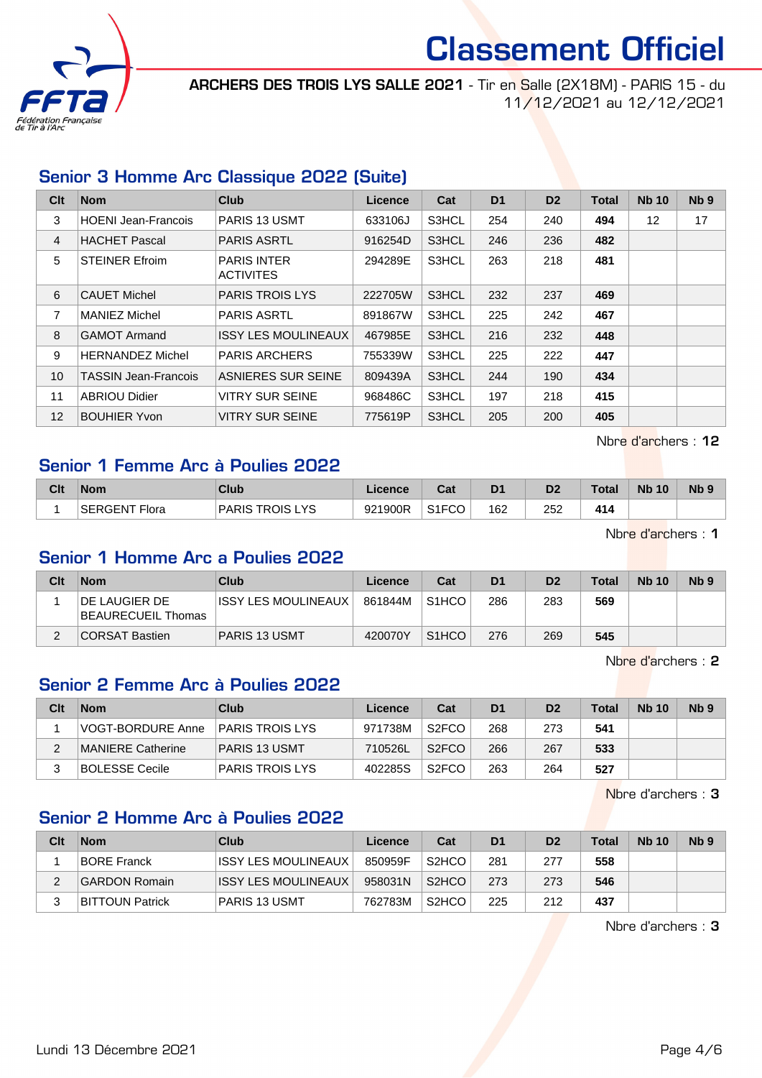

ARCHERS DES TROIS LYS SALLE 2021 - Tir en Salle (2X18M) - PARIS 15 - du 11/12/2021 au 12/12/2021

# Senior 3 Homme Arc Classique 2022 (Suite)

| Clt               | <b>Nom</b>                 | <b>Club</b>                            | Licence | Cat   | D <sub>1</sub> | D <sub>2</sub> | <b>Total</b> | <b>Nb 10</b>      | N <sub>b</sub> <sub>9</sub> |
|-------------------|----------------------------|----------------------------------------|---------|-------|----------------|----------------|--------------|-------------------|-----------------------------|
| 3                 | <b>HOENI Jean-Francois</b> | <b>PARIS 13 USMT</b>                   | 633106J | S3HCL | 254            | 240            | 494          | $12 \overline{ }$ | 17                          |
| $\overline{4}$    | <b>HACHET Pascal</b>       | <b>PARIS ASRTL</b>                     | 916254D | S3HCL | 246            | 236            | 482          |                   |                             |
| 5                 | <b>STEINER Efroim</b>      | <b>PARIS INTER</b><br><b>ACTIVITES</b> | 294289E | S3HCL | 263            | 218            | 481          |                   |                             |
| 6                 | <b>CAUET Michel</b>        | <b>PARIS TROIS LYS</b>                 | 222705W | S3HCL | 232            | 237            | 469          |                   |                             |
| 7                 | <b>MANIEZ Michel</b>       | <b>PARIS ASRTL</b>                     | 891867W | S3HCL | 225            | 242            | 467          |                   |                             |
| 8                 | <b>GAMOT Armand</b>        | <b>ISSY LES MOULINEAUX</b>             | 467985E | S3HCL | 216            | 232            | 448          |                   |                             |
| 9                 | <b>HERNANDEZ Michel</b>    | <b>PARIS ARCHERS</b>                   | 755339W | S3HCL | 225            | 222            | 447          |                   |                             |
| 10                | TASSIN Jean-Francois       | ASNIERES SUR SEINE                     | 809439A | S3HCL | 244            | 190            | 434          |                   |                             |
| 11                | <b>ABRIOU Didier</b>       | <b>VITRY SUR SEINE</b>                 | 968486C | S3HCL | 197            | 218            | 415          |                   |                             |
| $12 \overline{ }$ | <b>BOUHIER Yvon</b>        | <b>VITRY SUR SEINE</b>                 | 775619P | S3HCL | 205            | 200            | 405          |                   |                             |

Nbre d'archers : 12

#### Senior 1 Femme Arc à Poulies 2022

| Clt | <b>Nom</b>    | Club                          | Licence | $R_{\rm eff}$<br>ual                  | D <sub>1</sub> | D <sub>2</sub> | Total | <b>N<sub>b</sub></b><br>10 | N <sub>b</sub> 9 |
|-----|---------------|-------------------------------|---------|---------------------------------------|----------------|----------------|-------|----------------------------|------------------|
|     | SERGENT Flora | ' PARIS TROIS L<br><b>LYS</b> | 921900R | S <sub>1</sub> FC <sub>O</sub><br>ึ∪∪ | 162            | 252            | 414   |                            |                  |

Nbre d'archers : 1

#### Senior 1 Homme Arc a Poulies 2022

| Clt | <b>Nom</b>                          | Club                 | Licence | Cat                | D <sub>1</sub> | D <sub>2</sub> | Total | <b>Nb 10</b> | N <sub>b</sub> 9 |
|-----|-------------------------------------|----------------------|---------|--------------------|----------------|----------------|-------|--------------|------------------|
|     | DE LAUGIER DE<br>BEAURECUEIL Thomas | IISSY LES MOULINEAUX | 861844M | S <sub>1</sub> HCO | 286            | 283            | 569   |              |                  |
|     | CORSAT Bastien                      | PARIS 13 USMT        | 420070Y | S <sub>1</sub> HCO | 276            | 269            | 545   |              |                  |

Nbre d'archers : 2

#### Senior 2 Femme Arc à Poulies 2022

| Clt | <b>Nom</b>                | Club                   | Licence | Cat                | D <sub>1</sub> | D <sub>2</sub> | <b>Total</b> | <b>Nb 10</b> | Nb <sub>9</sub> |
|-----|---------------------------|------------------------|---------|--------------------|----------------|----------------|--------------|--------------|-----------------|
|     | <b>VOGT-BORDURE Anne</b>  | PARIS TROIS LYS        | 971738M | S <sub>2</sub> FCO | 268            | 273            | 541          |              |                 |
|     | <b>IMANIERE Catherine</b> | <b>PARIS 13 USMT</b>   | 710526L | S <sub>2</sub> FCO | 266            | 267            | 533          |              |                 |
|     | BOLESSE Cecile            | <b>PARIS TROIS LYS</b> | 402285S | S <sub>2</sub> FCO | 263            | 264            | 527          |              |                 |

Nbre d'archers : 3

#### Senior 2 Homme Arc à Poulies 2022

| Clt | <b>Nom</b>             | Club                       | Licence | Cat                | D <sub>1</sub> | D <sub>2</sub> | <b>Total</b> | <b>Nb 10</b> | N <sub>b</sub> <sub>9</sub> |
|-----|------------------------|----------------------------|---------|--------------------|----------------|----------------|--------------|--------------|-----------------------------|
|     | <b>BORE Franck</b>     | IISSY LES MOULINEAUX       | 850959F | S <sub>2</sub> HCO | 281            | 277            | 558          |              |                             |
|     | GARDON Romain          | <b>ISSY LES MOULINEAUX</b> | 958031N | S <sub>2</sub> HCO | 273            | 273            | 546          |              |                             |
|     | <b>BITTOUN Patrick</b> | PARIS 13 USMT              | 762783M | S <sub>2</sub> HCO | 225            | 212            | 437          |              |                             |

Nbre d'archers : 3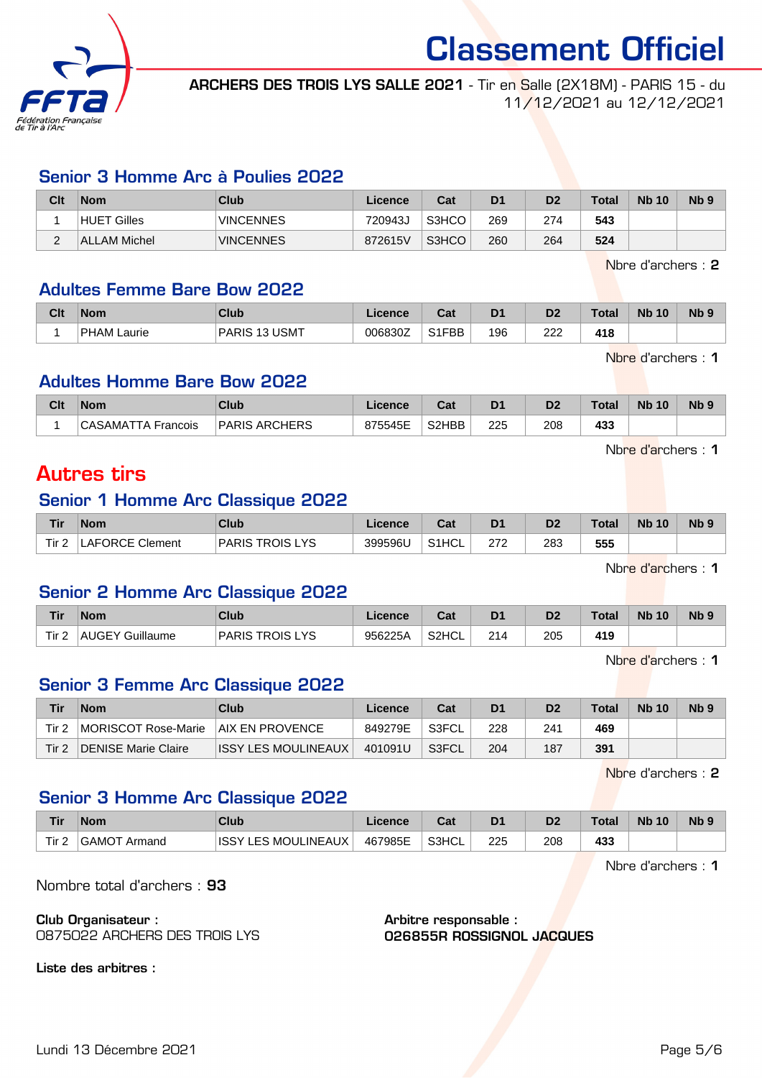

ARCHERS DES TROIS LYS SALLE 2021 - Tir en Salle (2X18M) - PARIS 15 - du 11/12/2021 au 12/12/2021

#### Senior 3 Homme Arc à Poulies 2022

| Clt | <b>Nom</b>            | Club             | ∟icence⊦ | Cat   | D <sub>1</sub> | D <sub>2</sub> | Total | <b>Nb 10</b> | N <sub>b</sub> <sub>9</sub> |
|-----|-----------------------|------------------|----------|-------|----------------|----------------|-------|--------------|-----------------------------|
|     | Gilles<br><b>HUET</b> | <b>VINCENNES</b> | 720943J  | S3HCO | 269            | 274            | 543   |              |                             |
| ⌒   | ALLAM Michel          | <b>VINCENNES</b> | 872615V  | S3HCO | 260            | 264            | 524   |              |                             |

Nbre d'archers : 2

#### Adultes Femme Bare Bow 2022

| Clt | <b>Nom</b>     | Club                 | cence   | val   | D <sub>1</sub> | D <sub>2</sub> | Total | <b>N<sub>b</sub></b><br>10 <sup>°</sup> | N <sub>b</sub> <sub>9</sub> |
|-----|----------------|----------------------|---------|-------|----------------|----------------|-------|-----------------------------------------|-----------------------------|
|     | PHAM<br>_aurie | JSMT<br><b>PARIS</b> | 006830Z | S1FBB | 196            | ר ה<br>୵୵୵     | 418   |                                         |                             |

Nbre d'archers : 1

#### Adultes Homme Bare Bow 2022

| Clt | <b>Nom</b>        | <b>Club</b>               | icence  | <b>Dat</b><br>⊌a⊧              | D <sub>1</sub> | D <sub>2</sub>       | Total | 10<br><b>Nb</b> | N <sub>b</sub> <sub>9</sub> |
|-----|-------------------|---------------------------|---------|--------------------------------|----------------|----------------------|-------|-----------------|-----------------------------|
|     | Francois<br>-AMA- | . ARCHERS<br><b>PARIS</b> | 875545E | S <sub>2</sub> H <sub>BB</sub> | 225            | 208<br>$\sim$ $\sim$ | 433   |                 |                             |

Nbre d'archers : 1

# Autres tirs

## Senior 1 Homme Arc Classique 2022

| Tir | Nom                    | Club                               | Licence | $R_{\rm eff}$<br>ual | D <sub>1</sub> | D <sub>2</sub> | $\tau$ otal | <b>Nb</b><br>10 | N <sub>b</sub> <sub>9</sub> |
|-----|------------------------|------------------------------------|---------|----------------------|----------------|----------------|-------------|-----------------|-----------------------------|
| Tir | <b>LAFORCE Clement</b> | ve<br><b>TROIS</b><br><b>PARIS</b> | 399596L | S <sub>1</sub> HCL   | מדמ            | 283            | 555         |                 |                             |

Nbre d'archers : 1

#### Senior 2 Homme Arc Classique 2022

| <b>Tir</b> | <b>Nom</b>                | Club                     | Licence | r.,<br>ual | D <sub>1</sub> | D2  | Total | <b>N<sub>b</sub></b><br>10 <sup>°</sup> | N <sub>b</sub> <sub>9</sub> |
|------------|---------------------------|--------------------------|---------|------------|----------------|-----|-------|-----------------------------------------|-----------------------------|
| Tir.       | Guillaume<br><b>AUGEY</b> | ve<br><b>PARIS TROIS</b> | 956225A | S2HCL      | 214            | 205 | 419   |                                         |                             |

Nbre d'archers : 1

## Senior 3 Femme Arc Classique 2022

| Tir   | <b>Nom</b>          | Club                        | Licence | Cat   | D <sub>1</sub> |     | <b>Total</b> | <b>Nb 10</b> | N <sub>b</sub> <sub>9</sub> |
|-------|---------------------|-----------------------------|---------|-------|----------------|-----|--------------|--------------|-----------------------------|
| Tir 2 | MORISCOT Rose-Marie | <b>AIX EN PROVENCE</b>      | 849279E | S3FCL | 228            | 241 | 469          |              |                             |
| Tir 2 | DENISE Marie Claire | <b>IISSY LES MOULINEAUX</b> | 401091U | S3FCL | 204            | 187 | 391          |              |                             |

Nbre d'archers : 2

# Senior 3 Homme Arc Classique 2022

| <b>Tir</b>       | <b>Nom</b>                    | Club                            | Licence | ີາ<br>ua | D <sub>1</sub> |     | <b>Total</b> | <b>Nb 10</b> | N <sub>b</sub> |
|------------------|-------------------------------|---------------------------------|---------|----------|----------------|-----|--------------|--------------|----------------|
| Tir <sub>2</sub> | ⊥GAMOT<br><sup>:</sup> Armand | LES MOULINEAUX<br><b>ISSY L</b> | 467985E | S3HCL    | 225            | 208 | 433          |              |                |

Nbre d'archers : 1

Nombre total d'archers : 93

Club Organisateur : 0875022 ARCHERS DES TROIS LYS Arbitre responsable : 026855R ROSSIGNOL JACQUES

Liste des arbitres :